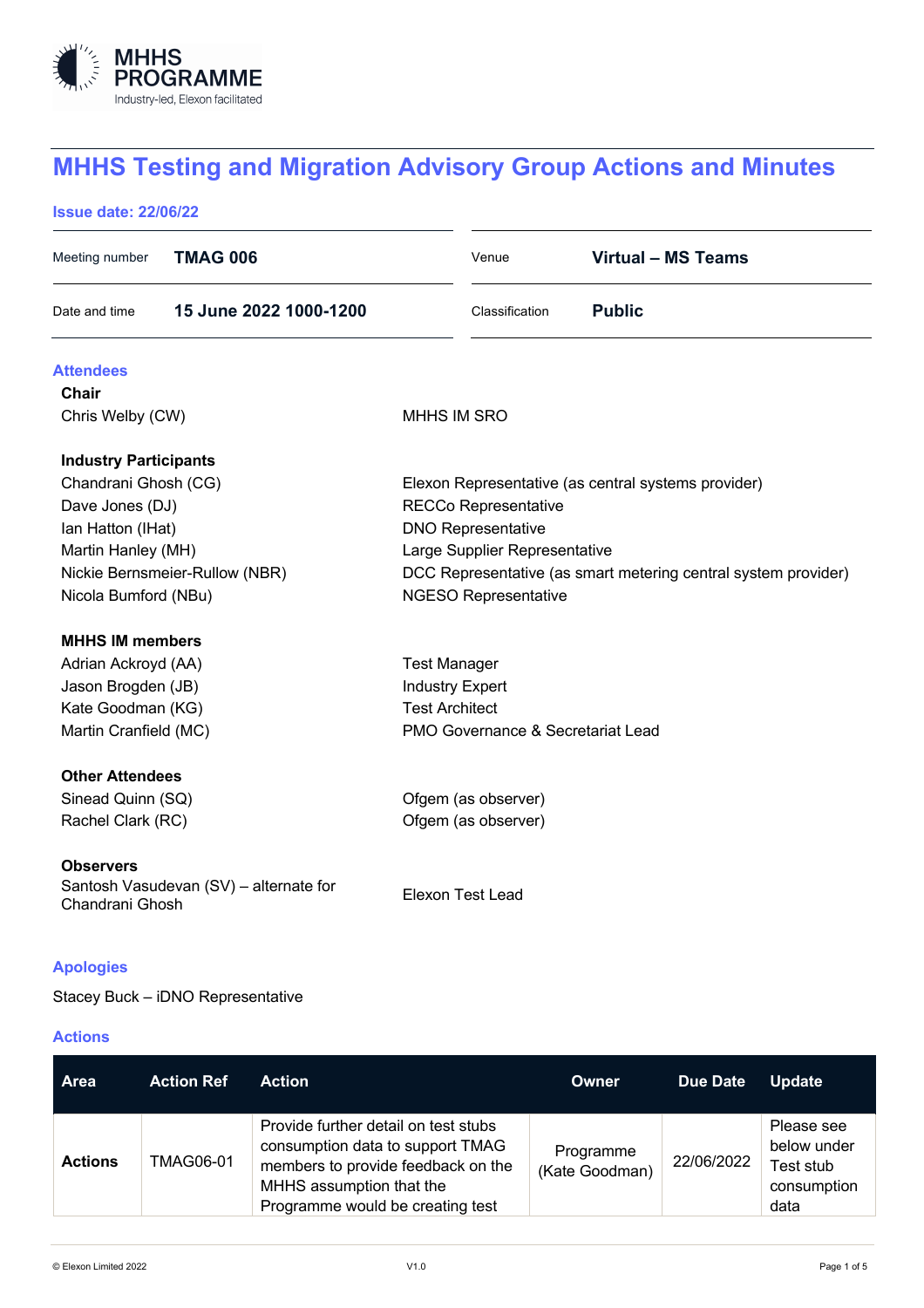

# **MHHS Testing and Migration Advisory Group Actions and Minutes**

## **Issue date: 22/06/22**

| <b>TMAG 006</b><br>Meeting number                                             |                                                                | Venue                   | <b>Virtual - MS Teams</b> |  |
|-------------------------------------------------------------------------------|----------------------------------------------------------------|-------------------------|---------------------------|--|
| 15 June 2022 1000-1200<br>Date and time                                       |                                                                | Classification          | <b>Public</b>             |  |
| <b>Attendees</b>                                                              |                                                                |                         |                           |  |
| <b>Chair</b>                                                                  |                                                                |                         |                           |  |
| Chris Welby (CW)                                                              | <b>MHHS IM SRO</b>                                             |                         |                           |  |
| <b>Industry Participants</b>                                                  |                                                                |                         |                           |  |
| Chandrani Ghosh (CG)                                                          | Elexon Representative (as central systems provider)            |                         |                           |  |
| Dave Jones (DJ)                                                               | <b>RECCo Representative</b>                                    |                         |                           |  |
| Ian Hatton (IHat)                                                             | <b>DNO Representative</b>                                      |                         |                           |  |
| Martin Hanley (MH)                                                            | Large Supplier Representative                                  |                         |                           |  |
| Nickie Bernsmeier-Rullow (NBR)                                                | DCC Representative (as smart metering central system provider) |                         |                           |  |
| Nicola Bumford (NBu)                                                          | <b>NGESO Representative</b>                                    |                         |                           |  |
| <b>MHHS IM members</b>                                                        |                                                                |                         |                           |  |
| Adrian Ackroyd (AA)                                                           | <b>Test Manager</b>                                            |                         |                           |  |
| Jason Brogden (JB)                                                            | <b>Industry Expert</b>                                         |                         |                           |  |
| Kate Goodman (KG)                                                             | <b>Test Architect</b>                                          |                         |                           |  |
| Martin Cranfield (MC)                                                         | PMO Governance & Secretariat Lead                              |                         |                           |  |
| <b>Other Attendees</b>                                                        |                                                                |                         |                           |  |
| Sinead Quinn (SQ)                                                             | Ofgem (as observer)                                            |                         |                           |  |
| Rachel Clark (RC)                                                             |                                                                | Ofgem (as observer)     |                           |  |
| <b>Observers</b><br>Santosh Vasudevan (SV) - alternate for<br>Chandrani Ghosh |                                                                | <b>Elexon Test Lead</b> |                           |  |

# **Apologies**

Stacey Buck – iDNO Representative

# **Actions**

| <b>Area</b>    | <b>Action Ref</b> | <b>Action</b>                                                                                                                                                                  | Owner                       | Due Date   | <b>Update</b>                                                 |
|----------------|-------------------|--------------------------------------------------------------------------------------------------------------------------------------------------------------------------------|-----------------------------|------------|---------------------------------------------------------------|
| <b>Actions</b> | <b>TMAG06-01</b>  | Provide further detail on test stubs<br>consumption data to support TMAG<br>members to provide feedback on the<br>MHHS assumption that the<br>Programme would be creating test | Programme<br>(Kate Goodman) | 22/06/2022 | Please see<br>below under<br>Test stub<br>consumption<br>data |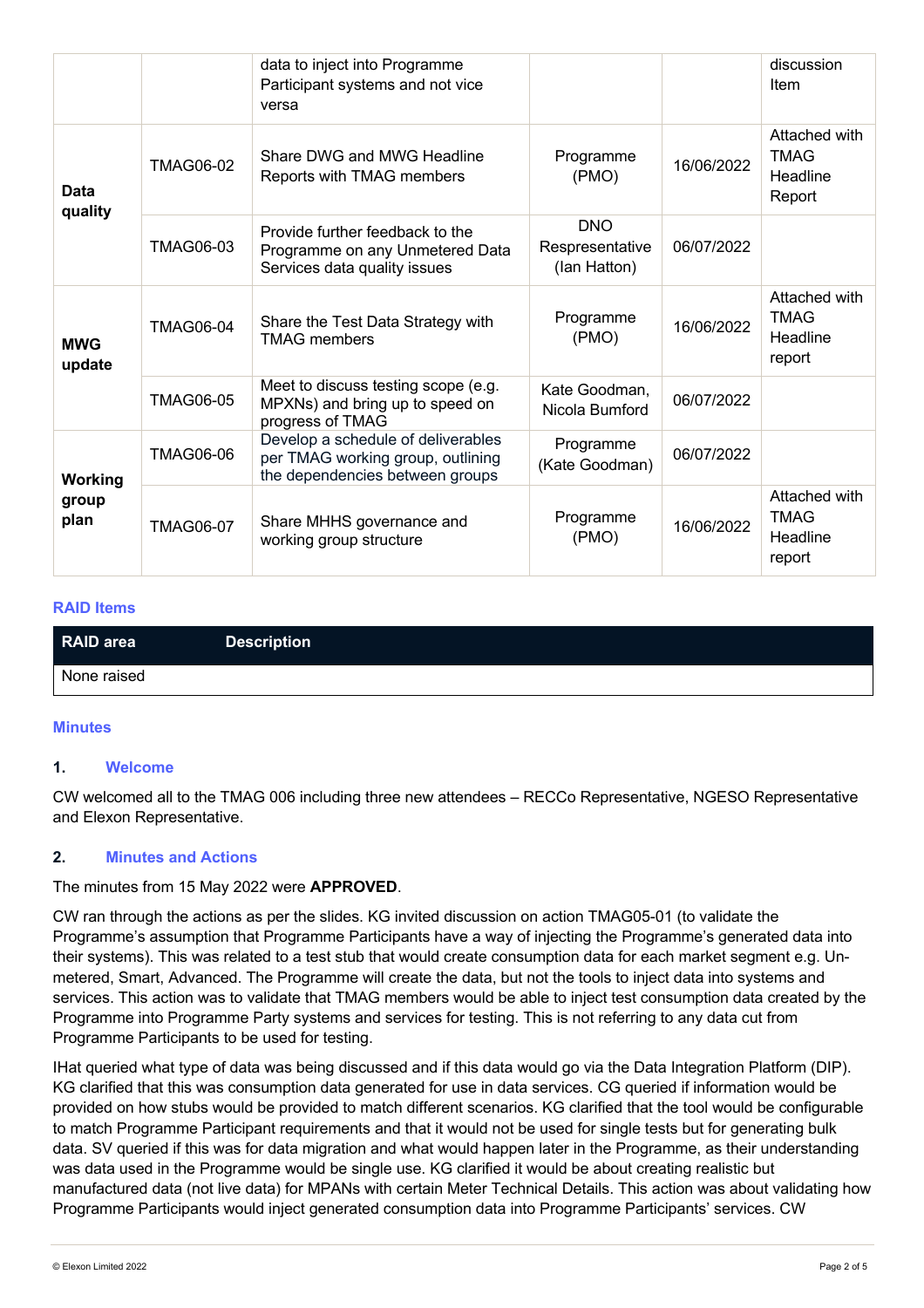|                          |                  | data to inject into Programme<br>Participant systems and not vice<br>versa                                 |                                               |            | discussion<br>Item                                 |
|--------------------------|------------------|------------------------------------------------------------------------------------------------------------|-----------------------------------------------|------------|----------------------------------------------------|
| Data<br>quality          | <b>TMAG06-02</b> | Share DWG and MWG Headline<br>Reports with TMAG members                                                    | Programme<br>(PMO)                            | 16/06/2022 | Attached with<br><b>TMAG</b><br>Headline<br>Report |
|                          | TMAG06-03        | Provide further feedback to the<br>Programme on any Unmetered Data<br>Services data quality issues         | <b>DNO</b><br>Respresentative<br>(lan Hatton) | 06/07/2022 |                                                    |
| <b>MWG</b><br>update     | <b>TMAG06-04</b> | Share the Test Data Strategy with<br><b>TMAG</b> members                                                   | Programme<br>(PMO)                            | 16/06/2022 | Attached with<br><b>TMAG</b><br>Headline<br>report |
|                          | <b>TMAG06-05</b> | Meet to discuss testing scope (e.g.<br>MPXNs) and bring up to speed on<br>progress of TMAG                 | Kate Goodman,<br>Nicola Bumford               | 06/07/2022 |                                                    |
| Working<br>group<br>plan | <b>TMAG06-06</b> | Develop a schedule of deliverables<br>per TMAG working group, outlining<br>the dependencies between groups | Programme<br>(Kate Goodman)                   | 06/07/2022 |                                                    |
|                          | <b>TMAG06-07</b> | Share MHHS governance and<br>working group structure                                                       | Programme<br>(PMO)                            | 16/06/2022 | Attached with<br><b>TMAG</b><br>Headline<br>report |

## **RAID Items**

| RAID area   | <b>Description</b> |
|-------------|--------------------|
| None raised |                    |

#### **Minutes**

#### **1. Welcome**

CW welcomed all to the TMAG 006 including three new attendees – RECCo Representative, NGESO Representative and Elexon Representative.

## **2. Minutes and Actions**

#### The minutes from 15 May 2022 were **APPROVED**.

CW ran through the actions as per the slides. KG invited discussion on action TMAG05-01 (to validate the Programme's assumption that Programme Participants have a way of injecting the Programme's generated data into their systems). This was related to a test stub that would create consumption data for each market segment e.g. Unmetered, Smart, Advanced. The Programme will create the data, but not the tools to inject data into systems and services. This action was to validate that TMAG members would be able to inject test consumption data created by the Programme into Programme Party systems and services for testing. This is not referring to any data cut from Programme Participants to be used for testing.

IHat queried what type of data was being discussed and if this data would go via the Data Integration Platform (DIP). KG clarified that this was consumption data generated for use in data services. CG queried if information would be provided on how stubs would be provided to match different scenarios. KG clarified that the tool would be configurable to match Programme Participant requirements and that it would not be used for single tests but for generating bulk data. SV queried if this was for data migration and what would happen later in the Programme, as their understanding was data used in the Programme would be single use. KG clarified it would be about creating realistic but manufactured data (not live data) for MPANs with certain Meter Technical Details. This action was about validating how Programme Participants would inject generated consumption data into Programme Participants' services. CW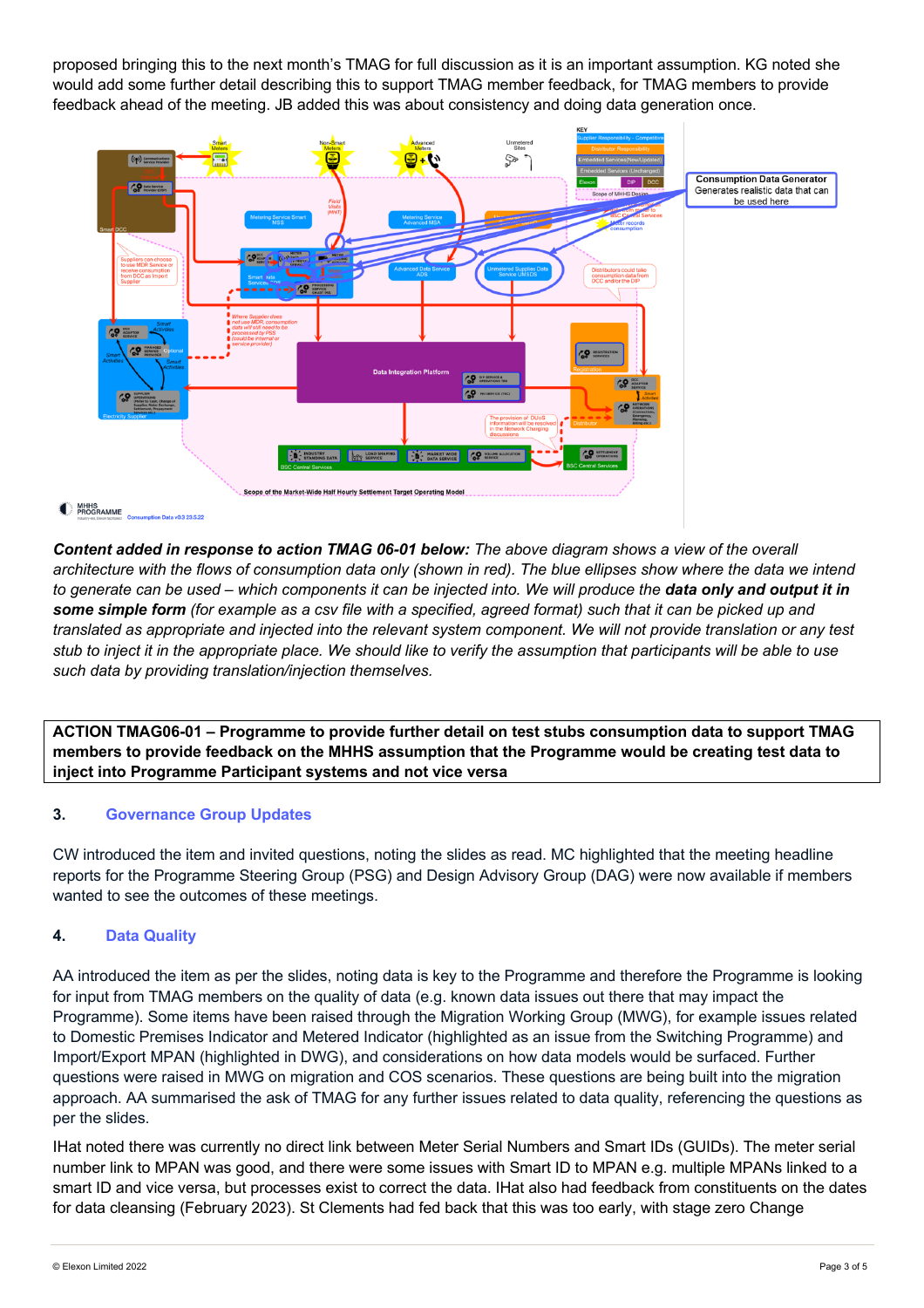proposed bringing this to the next month's TMAG for full discussion as it is an important assumption. KG noted she would add some further detail describing this to support TMAG member feedback, for TMAG members to provide feedback ahead of the meeting. JB added this was about consistency and doing data generation once.



*Content added in response to action TMAG 06-01 below: The above diagram shows a view of the overall architecture with the flows of consumption data only (shown in red). The blue ellipses show where the data we intend to generate can be used – which components it can be injected into. We will produce the data only and output it in some simple form (for example as a csv file with a specified, agreed format) such that it can be picked up and translated as appropriate and injected into the relevant system component. We will not provide translation or any test stub to inject it in the appropriate place. We should like to verify the assumption that participants will be able to use such data by providing translation/injection themselves.*

**ACTION TMAG06-01 – Programme to provide further detail on test stubs consumption data to support TMAG members to provide feedback on the MHHS assumption that the Programme would be creating test data to inject into Programme Participant systems and not vice versa**

# **3. Governance Group Updates**

CW introduced the item and invited questions, noting the slides as read. MC highlighted that the meeting headline reports for the Programme Steering Group (PSG) and Design Advisory Group (DAG) were now available if members wanted to see the outcomes of these meetings.

## **4. Data Quality**

AA introduced the item as per the slides, noting data is key to the Programme and therefore the Programme is looking for input from TMAG members on the quality of data (e.g. known data issues out there that may impact the Programme). Some items have been raised through the Migration Working Group (MWG), for example issues related to Domestic Premises Indicator and Metered Indicator (highlighted as an issue from the Switching Programme) and Import/Export MPAN (highlighted in DWG), and considerations on how data models would be surfaced. Further questions were raised in MWG on migration and COS scenarios. These questions are being built into the migration approach. AA summarised the ask of TMAG for any further issues related to data quality, referencing the questions as per the slides.

IHat noted there was currently no direct link between Meter Serial Numbers and Smart IDs (GUIDs). The meter serial number link to MPAN was good, and there were some issues with Smart ID to MPAN e.g. multiple MPANs linked to a smart ID and vice versa, but processes exist to correct the data. IHat also had feedback from constituents on the dates for data cleansing (February 2023). St Clements had fed back that this was too early, with stage zero Change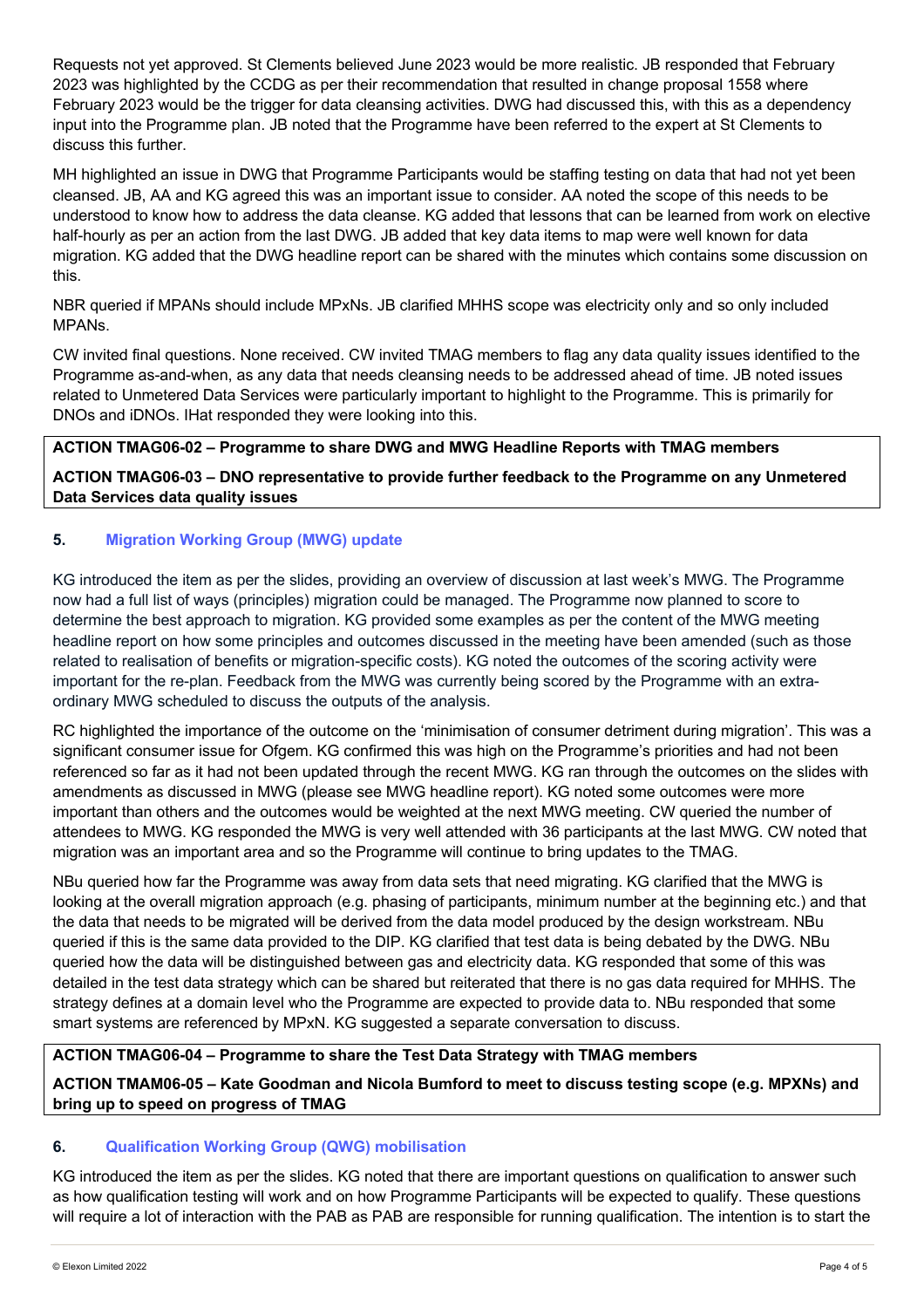Requests not yet approved. St Clements believed June 2023 would be more realistic. JB responded that February 2023 was highlighted by the CCDG as per their recommendation that resulted in change proposal 1558 where February 2023 would be the trigger for data cleansing activities. DWG had discussed this, with this as a dependency input into the Programme plan. JB noted that the Programme have been referred to the expert at St Clements to discuss this further.

MH highlighted an issue in DWG that Programme Participants would be staffing testing on data that had not yet been cleansed. JB, AA and KG agreed this was an important issue to consider. AA noted the scope of this needs to be understood to know how to address the data cleanse. KG added that lessons that can be learned from work on elective half-hourly as per an action from the last DWG. JB added that key data items to map were well known for data migration. KG added that the DWG headline report can be shared with the minutes which contains some discussion on this.

NBR queried if MPANs should include MPxNs. JB clarified MHHS scope was electricity only and so only included MPANs.

CW invited final questions. None received. CW invited TMAG members to flag any data quality issues identified to the Programme as-and-when, as any data that needs cleansing needs to be addressed ahead of time. JB noted issues related to Unmetered Data Services were particularly important to highlight to the Programme. This is primarily for DNOs and iDNOs. IHat responded they were looking into this.

## **ACTION TMAG06-02 – Programme to share DWG and MWG Headline Reports with TMAG members**

**ACTION TMAG06-03 – DNO representative to provide further feedback to the Programme on any Unmetered Data Services data quality issues**

# **5. Migration Working Group (MWG) update**

KG introduced the item as per the slides, providing an overview of discussion at last week's MWG. The Programme now had a full list of ways (principles) migration could be managed. The Programme now planned to score to determine the best approach to migration. KG provided some examples as per the content of the MWG meeting headline report on how some principles and outcomes discussed in the meeting have been amended (such as those related to realisation of benefits or migration-specific costs). KG noted the outcomes of the scoring activity were important for the re-plan. Feedback from the MWG was currently being scored by the Programme with an extraordinary MWG scheduled to discuss the outputs of the analysis.

RC highlighted the importance of the outcome on the 'minimisation of consumer detriment during migration'. This was a significant consumer issue for Ofgem. KG confirmed this was high on the Programme's priorities and had not been referenced so far as it had not been updated through the recent MWG. KG ran through the outcomes on the slides with amendments as discussed in MWG (please see MWG headline report). KG noted some outcomes were more important than others and the outcomes would be weighted at the next MWG meeting. CW queried the number of attendees to MWG. KG responded the MWG is very well attended with 36 participants at the last MWG. CW noted that migration was an important area and so the Programme will continue to bring updates to the TMAG.

NBu queried how far the Programme was away from data sets that need migrating. KG clarified that the MWG is looking at the overall migration approach (e.g. phasing of participants, minimum number at the beginning etc.) and that the data that needs to be migrated will be derived from the data model produced by the design workstream. NBu queried if this is the same data provided to the DIP. KG clarified that test data is being debated by the DWG. NBu queried how the data will be distinguished between gas and electricity data. KG responded that some of this was detailed in the test data strategy which can be shared but reiterated that there is no gas data required for MHHS. The strategy defines at a domain level who the Programme are expected to provide data to. NBu responded that some smart systems are referenced by MPxN. KG suggested a separate conversation to discuss.

## **ACTION TMAG06-04 – Programme to share the Test Data Strategy with TMAG members**

**ACTION TMAM06-05 – Kate Goodman and Nicola Bumford to meet to discuss testing scope (e.g. MPXNs) and bring up to speed on progress of TMAG**

## **6. Qualification Working Group (QWG) mobilisation**

KG introduced the item as per the slides. KG noted that there are important questions on qualification to answer such as how qualification testing will work and on how Programme Participants will be expected to qualify. These questions will require a lot of interaction with the PAB as PAB are responsible for running qualification. The intention is to start the